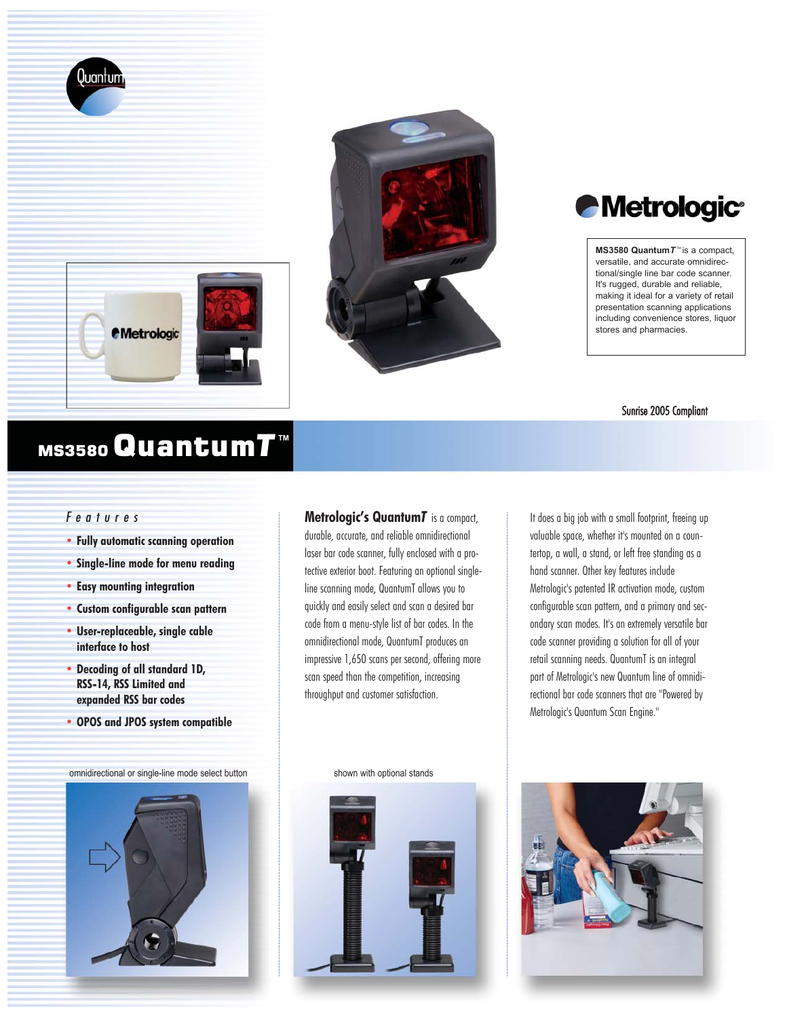







 $MS3580$  Quantum  $T^{\text{m}}$  is a compact, versatile, and accurate omnidirectional/single line bar code scanner. It's rugged, durable and reliable, making it ideal for a variety of retail presentation scanning applications including convenience stores, liquor stores and pharmacies.

#### Sunrise 2005 Compliant

# MS3580 Quantum*T***TM**

# *Features*

- **• Fully automatic scanning operation**
- **• Single-line mode for menu reading**
- **• Easy mounting integration**
- **• Custom configurable scan pattern**
- **• User-replaceable, single cable interface to host**
- **• Decoding of all standard 1D, RSS-14, RSS Limited and expanded RSS bar codes**
- **• OPOS and JPOS system compatible**

omnidirectional or single-line mode select button shown with optional stands



**Metrologic's Quantum***T* is a compact, durable, accurate, and reliable omnidirectional laser bar code scanner, fully enclosed with a protective exterior boot. Featuring an optional singleline scanning mode, QuantumT allows you to quickly and easily select and scan a desired bar code from a menu-style list of bar codes. In the omnidirectional mode, QuantumT produces an impressive 1,650 scans per second, offering more scan speed than the competition, increasing throughput and customer satisfaction.

It does a big job with a small footprint, freeing up valuable space, whether it's mounted on a countertop, a wall, a stand, or left free standing as a hand scanner. Other key features include Metrologic's patented IR activation mode, custom configurable scan pattern, and a primary and secondary scan modes. It's an extremely versatile bar code scanner providing a solution for all of your retail scanning needs. QuantumT is an integral part of Metrologic's new Quantum line of omnidirectional bar code scanners that are "Powered by Metrologic's Quantum Scan Engine."